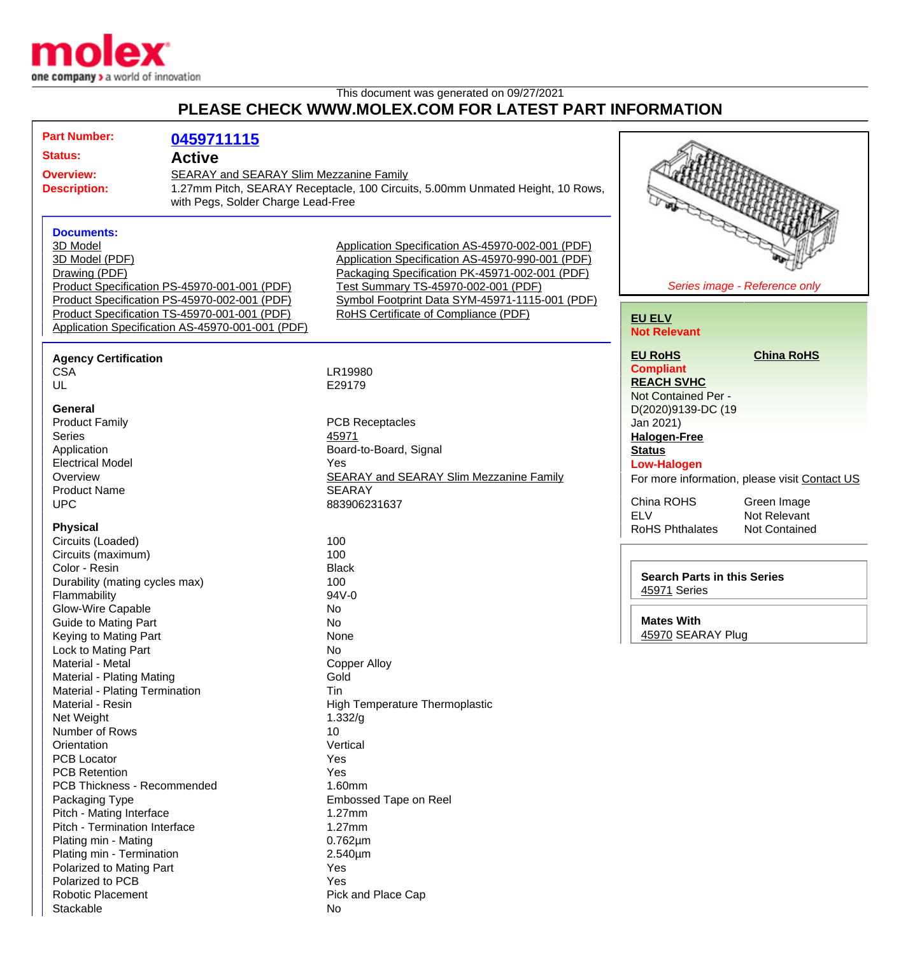

## This document was generated on 09/27/2021 **PLEASE CHECK WWW.MOLEX.COM FOR LATEST PART INFORMATION**

| <b>Part Number:</b>                                                                                                                       | 0459711115                                                                                                                                                                                       |                                                                                                                                                                                                                                                                                         |                                                                                                                                                     |
|-------------------------------------------------------------------------------------------------------------------------------------------|--------------------------------------------------------------------------------------------------------------------------------------------------------------------------------------------------|-----------------------------------------------------------------------------------------------------------------------------------------------------------------------------------------------------------------------------------------------------------------------------------------|-----------------------------------------------------------------------------------------------------------------------------------------------------|
| <b>Status:</b>                                                                                                                            | <b>Active</b>                                                                                                                                                                                    |                                                                                                                                                                                                                                                                                         |                                                                                                                                                     |
| <b>Overview:</b><br><b>Description:</b>                                                                                                   | SEARAY and SEARAY Slim Mezzanine Family<br>1.27mm Pitch, SEARAY Receptacle, 100 Circuits, 5.00mm Unmated Height, 10 Rows,<br>with Pegs, Solder Charge Lead-Free                                  |                                                                                                                                                                                                                                                                                         |                                                                                                                                                     |
| <b>Documents:</b><br>3D Model<br>3D Model (PDF)<br>Drawing (PDF)                                                                          | Product Specification PS-45970-001-001 (PDF)<br>Product Specification PS-45970-002-001 (PDF)<br>Product Specification TS-45970-001-001 (PDF)<br>Application Specification AS-45970-001-001 (PDF) | Application Specification AS-45970-002-001 (PDF)<br>Application Specification AS-45970-990-001 (PDF)<br>Packaging Specification PK-45971-002-001 (PDF)<br>Test Summary TS-45970-002-001 (PDF)<br>Symbol Footprint Data SYM-45971-1115-001 (PDF)<br>RoHS Certificate of Compliance (PDF) | Series image - Reference only<br><b>EU ELV</b><br><b>Not Relevant</b>                                                                               |
| <b>Agency Certification</b><br><b>CSA</b><br>UL                                                                                           |                                                                                                                                                                                                  | LR19980<br>E29179                                                                                                                                                                                                                                                                       | <b>China RoHS</b><br><b>EU RoHS</b><br><b>Compliant</b><br><b>REACH SVHC</b><br>Not Contained Per -                                                 |
| <b>General</b><br><b>Product Family</b><br>Series<br>Application<br><b>Electrical Model</b>                                               |                                                                                                                                                                                                  | <b>PCB Receptacles</b><br>45971<br>Board-to-Board, Signal<br>Yes                                                                                                                                                                                                                        | D(2020)9139-DC (19<br>Jan 2021)<br><b>Halogen-Free</b><br><b>Status</b><br><b>Low-Halogen</b>                                                       |
| Overview<br><b>Product Name</b><br><b>UPC</b><br><b>Physical</b>                                                                          |                                                                                                                                                                                                  | <b>SEARAY and SEARAY Slim Mezzanine Family</b><br><b>SEARAY</b><br>883906231637                                                                                                                                                                                                         | For more information, please visit Contact US<br>China ROHS<br>Green Image<br><b>ELV</b><br>Not Relevant<br><b>RoHS Phthalates</b><br>Not Contained |
| Circuits (Loaded)<br>Circuits (maximum)<br>Color - Resin<br>Durability (mating cycles max)                                                |                                                                                                                                                                                                  | 100<br>100<br><b>Black</b><br>100                                                                                                                                                                                                                                                       | <b>Search Parts in this Series</b><br>45971 Series                                                                                                  |
| Flammability<br><b>Glow-Wire Capable</b><br><b>Guide to Mating Part</b><br>Keying to Mating Part<br>Lock to Mating Part                   |                                                                                                                                                                                                  | 94V-0<br>No<br>No<br>None<br>No                                                                                                                                                                                                                                                         | <b>Mates With</b><br>45970 SEARAY Plug                                                                                                              |
| Material - Metal<br>Material - Plating Mating<br>Material - Plating Termination<br>Material - Resin                                       |                                                                                                                                                                                                  | <b>Copper Alloy</b><br>Gold<br>Tin<br>High Temperature Thermoplastic                                                                                                                                                                                                                    |                                                                                                                                                     |
| Net Weight<br>Number of Rows<br>Orientation<br><b>PCB Locator</b>                                                                         |                                                                                                                                                                                                  | 1.332/g<br>10<br>Vertical<br>Yes                                                                                                                                                                                                                                                        |                                                                                                                                                     |
| <b>PCB Retention</b><br><b>PCB Thickness - Recommended</b><br>Packaging Type<br>Pitch - Mating Interface<br>Pitch - Termination Interface |                                                                                                                                                                                                  | Yes<br>1.60mm<br>Embossed Tape on Reel<br>$1.27$ mm<br>$1.27$ mm                                                                                                                                                                                                                        |                                                                                                                                                     |
| Plating min - Mating<br>Plating min - Termination<br>Polarized to Mating Part<br>Polarized to PCB                                         |                                                                                                                                                                                                  | $0.762 \mu m$<br>2.540µm<br>Yes<br>Yes                                                                                                                                                                                                                                                  |                                                                                                                                                     |
| <b>Robotic Placement</b><br>Stackable                                                                                                     |                                                                                                                                                                                                  | Pick and Place Cap<br>No                                                                                                                                                                                                                                                                |                                                                                                                                                     |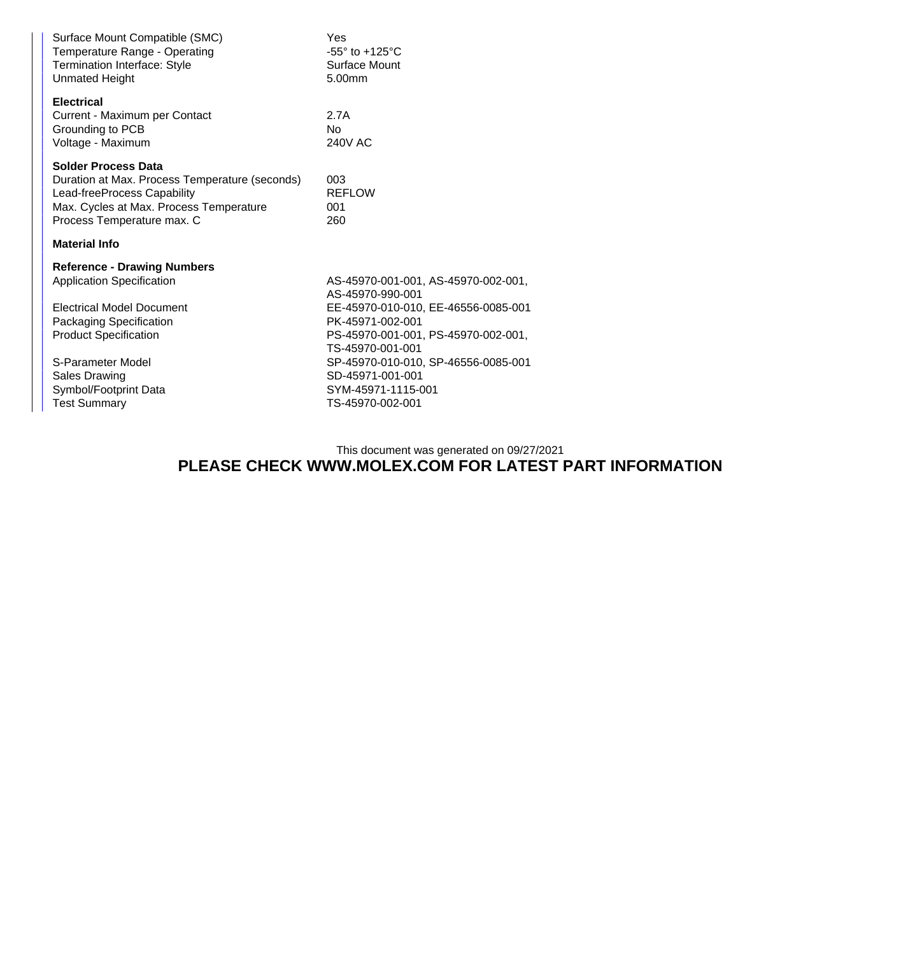| Surface Mount Compatible (SMC)<br>Temperature Range - Operating<br><b>Termination Interface: Style</b><br><b>Unmated Height</b>                                                      | Yes<br>-55 $\degree$ to +125 $\degree$ C<br>Surface Mount<br>5.00mm                               |  |  |  |
|--------------------------------------------------------------------------------------------------------------------------------------------------------------------------------------|---------------------------------------------------------------------------------------------------|--|--|--|
| <b>Electrical</b><br>Current - Maximum per Contact<br>Grounding to PCB<br>Voltage - Maximum                                                                                          | 2.7A<br>N <sub>o</sub><br><b>240V AC</b>                                                          |  |  |  |
| <b>Solder Process Data</b><br>Duration at Max. Process Temperature (seconds)<br>Lead-freeProcess Capability<br>Max. Cycles at Max. Process Temperature<br>Process Temperature max. C | 003<br><b>REFLOW</b><br>001<br>260                                                                |  |  |  |
| <b>Material Info</b>                                                                                                                                                                 |                                                                                                   |  |  |  |
| <b>Reference - Drawing Numbers</b>                                                                                                                                                   |                                                                                                   |  |  |  |
| <b>Application Specification</b>                                                                                                                                                     | AS-45970-001-001, AS-45970-002-001,<br>AS-45970-990-001                                           |  |  |  |
| <b>Electrical Model Document</b>                                                                                                                                                     | EE-45970-010-010, EE-46556-0085-001                                                               |  |  |  |
| Packaging Specification                                                                                                                                                              | PK-45971-002-001                                                                                  |  |  |  |
| <b>Product Specification</b>                                                                                                                                                         | PS-45970-001-001, PS-45970-002-001,<br>TS-45970-001-001                                           |  |  |  |
| S-Parameter Model<br><b>Sales Drawing</b><br>Symbol/Footprint Data<br><b>Test Summary</b>                                                                                            | SP-45970-010-010, SP-46556-0085-001<br>SD-45971-001-001<br>SYM-45971-1115-001<br>TS-45970-002-001 |  |  |  |

This document was generated on 09/27/2021

## **PLEASE CHECK WWW.MOLEX.COM FOR LATEST PART INFORMATION**